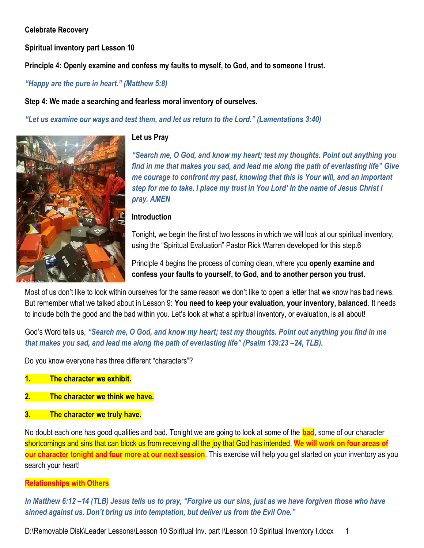### **Celebrate Recovery**

### **Spiritual inventory part Lesson 10**

**Principle 4: Openly examine and confess my faults to myself, to God, and to someone I trust.** 

*"Happy are the pure in heart." (Matthew 5:8)* 

**Step 4: We made a searching and fearless moral inventory of ourselves.** 

*"Let us examine our ways and test them, and let us return to the Lord." (Lamentations 3:40)* 



### **Let us Pray**

*"Search me, O God, and know my heart; test my thoughts. Point out anything you find in me that makes you sad, and lead me along the path of everlasting life" Give me courage to confront my past, knowing that this is Your will, and an important step for me to take. I place my trust in You Lord' In the name of Jesus Christ I pray. AMEN*

#### **Introduction**

Tonight, we begin the first of two lessons in which we will look at our spiritual inventory, using the "Spiritual Evaluation" Pastor Rick Warren developed for this step.6

Principle 4 begins the process of coming clean, where you **openly examine and confess your faults to yourself, to God, and to another person you trust.**

Most of us don't like to look within ourselves for the same reason we don't like to open a letter that we know has bad news. But remember what we talked about in Lesson 9: **You need to keep your evaluation, your inventory, balanced**. It needs to include both the good and the bad within you. Let's look at what a spiritual inventory, or evaluation, is all about!

God's Word tells us, *"Search me, O God, and know my heart; test my thoughts. Point out anything you find in me that makes you sad, and lead me along the path of everlasting life" (Psalm 139:23 –24, TLB).* 

Do you know everyone has three different "characters"?

- **1. The character we exhibit.**
- **2. The character we think we have.**
- **3. The character we truly have.**

No doubt each one has good qualities and bad. Tonight we are going to look at some of the **bad**, some of our character shortcomings and sins that can block us from receiving all the joy that God has intended. **We will work on four areas of our character tonight and four more at our next session**. This exercise will help you get started on your inventory as you search your heart!

## **Relationships with Others**

*In Matthew 6:12 –14 (TLB) Jesus tells us to pray, "Forgive us our sins, just as we have forgiven those who have sinned against us. Don't bring us into temptation, but deliver us from the Evil One."*

D:\Removable Disk\Leader Lessons\Lesson 10 Spiritual Inv. part I\Lesson 10 Spiritual Inventory I.docx 1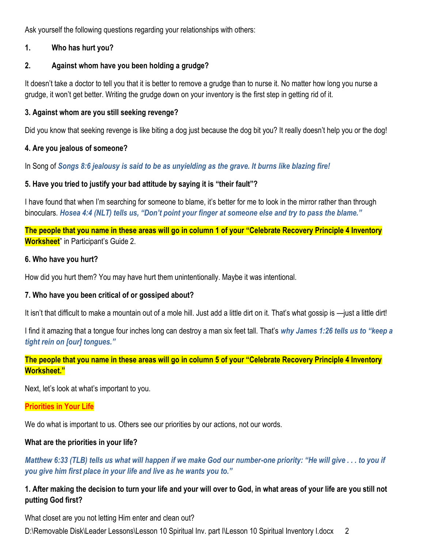Ask yourself the following questions regarding your relationships with others:

# **1. Who has hurt you?**

# **2. Against whom have you been holding a grudge?**

It doesn't take a doctor to tell you that it is better to remove a grudge than to nurse it. No matter how long you nurse a grudge, it won't get better. Writing the grudge down on your inventory is the first step in getting rid of it.

# **3. Against whom are you still seeking revenge?**

Did you know that seeking revenge is like biting a dog just because the dog bit you? It really doesn't help you or the dog!

## **4. Are you jealous of someone?**

In Song of *Songs 8:6 jealousy is said to be as unyielding as the grave. It burns like blazing fire!* 

# **5. Have you tried to justify your bad attitude by saying it is "their fault"?**

I have found that when I'm searching for someone to blame, it's better for me to look in the mirror rather than through binoculars. *Hosea 4:4 (NLT) tells us, "Don't point your finger at someone else and try to pass the blame."* 

**The people that you name in these areas will go in column 1 of your "Celebrate Recovery Principle 4 Inventory Worksheet**" in Participant's Guide 2.

## **6. Who have you hurt?**

How did you hurt them? You may have hurt them unintentionally. Maybe it was intentional.

# **7. Who have you been critical of or gossiped about?**

It isn't that difficult to make a mountain out of a mole hill. Just add a little dirt on it. That's what gossip is —just a little dirt!

I find it amazing that a tongue four inches long can destroy a man six feet tall. That's *why James 1:26 tells us to "keep a tight rein on [our] tongues."* 

# **The people that you name in these areas will go in column 5 of your "Celebrate Recovery Principle 4 Inventory Worksheet."**

Next, let's look at what's important to you.

# **Priorities in Your Life**

We do what is important to us. Others see our priorities by our actions, not our words.

## **What are the priorities in your life?**

*Matthew 6:33 (TLB) tells us what will happen if we make God our number-one priority: "He will give . . . to you if you give him first place in your life and live as he wants you to."* 

# **1. After making the decision to turn your life and your will over to God, in what areas of your life are you still not putting God first?**

What closet are you not letting Him enter and clean out?

D:\Removable Disk\Leader Lessons\Lesson 10 Spiritual Inv. part I\Lesson 10 Spiritual Inventory I.docx 2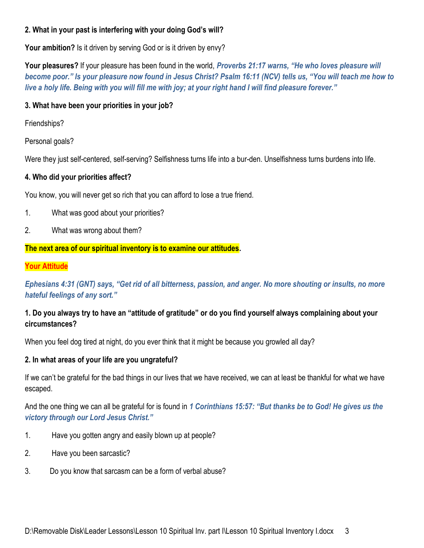## **2. What in your past is interfering with your doing God's will?**

**Your ambition?** Is it driven by serving God or is it driven by envy?

**Your pleasures?** If your pleasure has been found in the world, *Proverbs 21:17 warns, "He who loves pleasure will become poor." Is your pleasure now found in Jesus Christ? Psalm 16:11 (NCV) tells us, "You will teach me how to live a holy life. Being with you will fill me with joy; at your right hand I will find pleasure forever."*

#### **3. What have been your priorities in your job?**

Friendships?

Personal goals?

Were they just self-centered, self-serving? Selfishness turns life into a bur-den. Unselfishness turns burdens into life.

#### **4. Who did your priorities affect?**

You know, you will never get so rich that you can afford to lose a true friend.

- 1. What was good about your priorities?
- 2. What was wrong about them?

**The next area of our spiritual inventory is to examine our attitudes.**

#### **Your Attitude**

*Ephesians 4:31 (GNT) says, "Get rid of all bitterness, passion, and anger. No more shouting or insults, no more hateful feelings of any sort."* 

# **1. Do you always try to have an "attitude of gratitude" or do you find yourself always complaining about your circumstances?**

When you feel dog tired at night, do you ever think that it might be because you growled all day?

#### **2. In what areas of your life are you ungrateful?**

If we can't be grateful for the bad things in our lives that we have received, we can at least be thankful for what we have escaped.

And the one thing we can all be grateful for is found in *1 Corinthians 15:57: "But thanks be to God! He gives us the victory through our Lord Jesus Christ."* 

- 1. Have you gotten angry and easily blown up at people?
- 2. Have you been sarcastic?
- 3. Do you know that sarcasm can be a form of verbal abuse?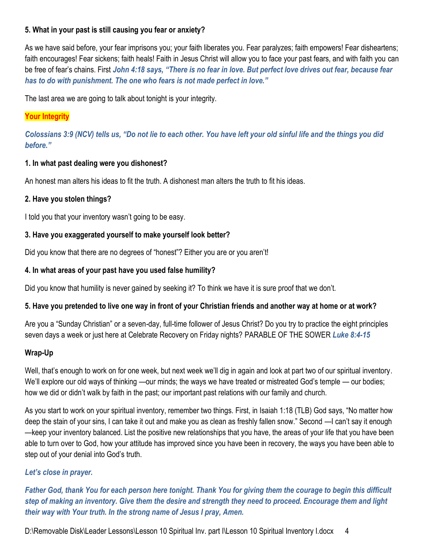## **5. What in your past is still causing you fear or anxiety?**

As we have said before, your fear imprisons you; your faith liberates you. Fear paralyzes; faith empowers! Fear disheartens; faith encourages! Fear sickens; faith heals! Faith in Jesus Christ will allow you to face your past fears, and with faith you can be free of fear's chains. First *John 4:18 says, "There is no fear in love. But perfect love drives out fear, because fear has to do with punishment. The one who fears is not made perfect in love."* 

The last area we are going to talk about tonight is your integrity.

## **Your Integrity**

*Colossians 3:9 (NCV) tells us, "Do not lie to each other. You have left your old sinful life and the things you did before."* 

#### **1. In what past dealing were you dishonest?**

An honest man alters his ideas to fit the truth. A dishonest man alters the truth to fit his ideas.

## **2. Have you stolen things?**

I told you that your inventory wasn't going to be easy.

## **3. Have you exaggerated yourself to make yourself look better?**

Did you know that there are no degrees of "honest"? Either you are or you aren't!

## **4. In what areas of your past have you used false humility?**

Did you know that humility is never gained by seeking it? To think we have it is sure proof that we don't.

## **5. Have you pretended to live one way in front of your Christian friends and another way at home or at work?**

Are you a "Sunday Christian" or a seven-day, full-time follower of Jesus Christ? Do you try to practice the eight principles seven days a week or just here at Celebrate Recovery on Friday nights? PARABLE OF THE SOWER *Luke 8:4-15*

## **Wrap-Up**

Well, that's enough to work on for one week, but next week we'll dig in again and look at part two of our spiritual inventory. We'll explore our old ways of thinking —our minds; the ways we have treated or mistreated God's temple — our bodies; how we did or didn't walk by faith in the past; our important past relations with our family and church.

As you start to work on your spiritual inventory, remember two things. First, in Isaiah 1:18 (TLB) God says, "No matter how deep the stain of your sins, I can take it out and make you as clean as freshly fallen snow." Second —I can't say it enough —keep your inventory balanced. List the positive new relationships that you have, the areas of your life that you have been able to turn over to God, how your attitude has improved since you have been in recovery, the ways you have been able to step out of your denial into God's truth.

## *Let's close in prayer.*

*Father God, thank You for each person here tonight. Thank You for giving them the courage to begin this difficult step of making an inventory. Give them the desire and strength they need to proceed. Encourage them and light their way with Your truth. In the strong name of Jesus I pray, Amen.*

D:\Removable Disk\Leader Lessons\Lesson 10 Spiritual Inv. part I\Lesson 10 Spiritual Inventory I.docx 4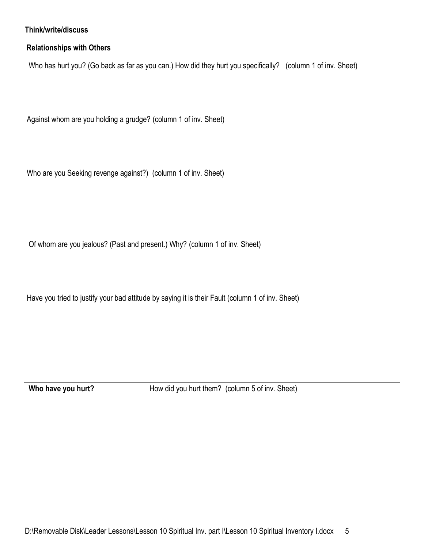### **Think/write/discuss**

### **Relationships with Others**

Who has hurt you? (Go back as far as you can.) How did they hurt you specifically? (column 1 of inv. Sheet)

Against whom are you holding a grudge? (column 1 of inv. Sheet)

Who are you Seeking revenge against?) (column 1 of inv. Sheet)

Of whom are you jealous? (Past and present.) Why? (column 1 of inv. Sheet)

Have you tried to justify your bad attitude by saying it is their Fault (column 1 of inv. Sheet)

**Who have you hurt?** How did you hurt them? (column 5 of inv. Sheet)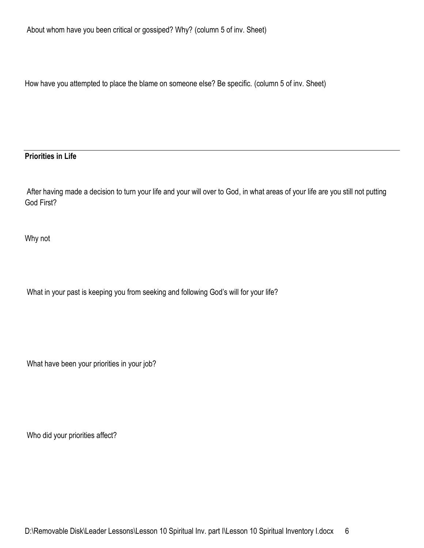How have you attempted to place the blame on someone else? Be specific. (column 5 of inv. Sheet)

# **Priorities in Life**

After having made a decision to turn your life and your will over to God, in what areas of your life are you still not putting God First?

Why not

What in your past is keeping you from seeking and following God's will for your life?

What have been your priorities in your job?

Who did your priorities affect?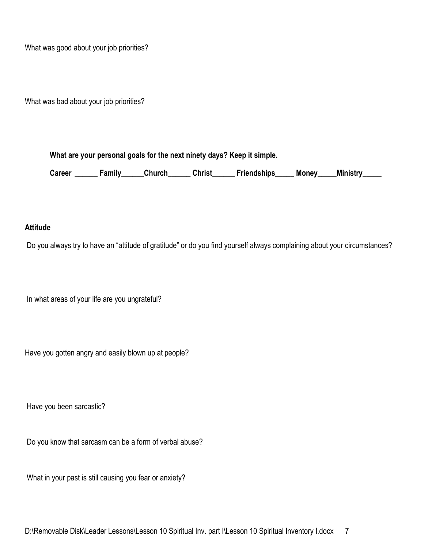What was good about your job priorities?

What was bad about your job priorities?

**What are your personal goals for the next ninety days? Keep it simple.**

**Career \_\_\_\_\_\_ Family\_\_\_\_\_\_Church\_\_\_\_\_\_ Christ\_\_\_\_\_\_ Friendships\_\_\_\_\_ Money\_\_\_\_\_Ministry\_\_\_\_\_**

#### **Attitude**

Do you always try to have an "attitude of gratitude" or do you find yourself always complaining about your circumstances?

In what areas of your life are you ungrateful?

Have you gotten angry and easily blown up at people?

Have you been sarcastic?

Do you know that sarcasm can be a form of verbal abuse?

What in your past is still causing you fear or anxiety?